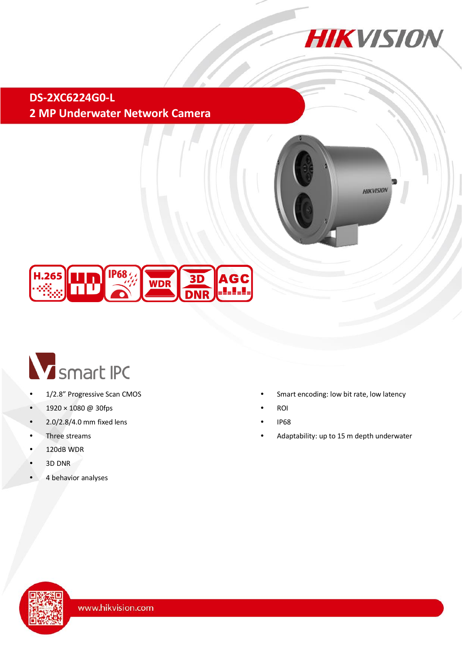

## **DS-2XC6224G0-L 2 MP Underwater Network Camera**







- 1/2.8" Progressive Scan CMOS
- 1920 × 1080 @ 30fps
- $\cdot$  2.0/2.8/4.0 mm fixed lens
- Three streams
- 120dB WDR
- 3D DNR
- 4 behavior analyses
- Smart encoding: low bit rate, low latency
- ROI
- IP68
- Adaptability: up to 15 m depth underwater

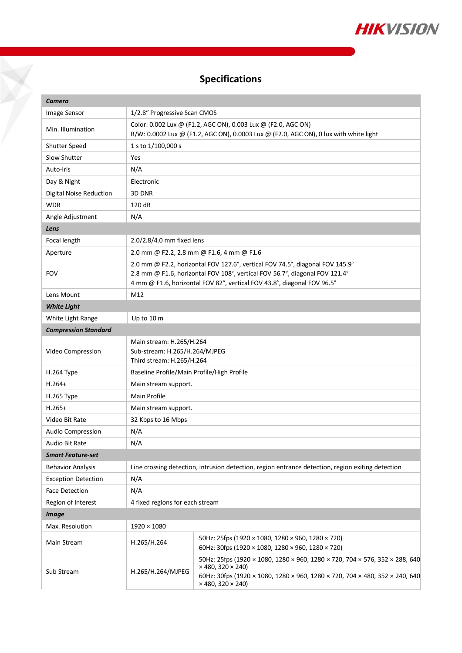

# **Specifications**

 $\boldsymbol{\nabla}$ 

| <b>Camera</b>               |                                                                                                                                                                                                                                         |                                                                                                                                                                                                                                  |  |  |
|-----------------------------|-----------------------------------------------------------------------------------------------------------------------------------------------------------------------------------------------------------------------------------------|----------------------------------------------------------------------------------------------------------------------------------------------------------------------------------------------------------------------------------|--|--|
| Image Sensor                | 1/2.8" Progressive Scan CMOS                                                                                                                                                                                                            |                                                                                                                                                                                                                                  |  |  |
| Min. Illumination           | Color: 0.002 Lux @ (F1.2, AGC ON), 0.003 Lux @ (F2.0, AGC ON)<br>B/W: 0.0002 Lux @ (F1.2, AGC ON), 0.0003 Lux @ (F2.0, AGC ON), 0 lux with white light                                                                                  |                                                                                                                                                                                                                                  |  |  |
| Shutter Speed               | 1 s to 1/100,000 s                                                                                                                                                                                                                      |                                                                                                                                                                                                                                  |  |  |
| Slow Shutter                | Yes                                                                                                                                                                                                                                     |                                                                                                                                                                                                                                  |  |  |
| Auto-Iris                   | N/A                                                                                                                                                                                                                                     |                                                                                                                                                                                                                                  |  |  |
| Day & Night                 | Electronic                                                                                                                                                                                                                              |                                                                                                                                                                                                                                  |  |  |
| Digital Noise Reduction     | 3D DNR                                                                                                                                                                                                                                  |                                                                                                                                                                                                                                  |  |  |
| <b>WDR</b>                  | 120 dB                                                                                                                                                                                                                                  |                                                                                                                                                                                                                                  |  |  |
| Angle Adjustment            | N/A                                                                                                                                                                                                                                     |                                                                                                                                                                                                                                  |  |  |
| Lens                        |                                                                                                                                                                                                                                         |                                                                                                                                                                                                                                  |  |  |
| Focal length                | 2.0/2.8/4.0 mm fixed lens                                                                                                                                                                                                               |                                                                                                                                                                                                                                  |  |  |
| Aperture                    | 2.0 mm @ F2.2, 2.8 mm @ F1.6, 4 mm @ F1.6                                                                                                                                                                                               |                                                                                                                                                                                                                                  |  |  |
| <b>FOV</b>                  | 2.0 mm @ F2.2, horizontal FOV 127.6°, vertical FOV 74.5°, diagonal FOV 145.9°<br>2.8 mm @ F1.6, horizontal FOV 108°, vertical FOV 56.7°, diagonal FOV 121.4°<br>4 mm @ F1.6, horizontal FOV 82°, vertical FOV 43.8°, diagonal FOV 96.5° |                                                                                                                                                                                                                                  |  |  |
| Lens Mount                  | M12                                                                                                                                                                                                                                     |                                                                                                                                                                                                                                  |  |  |
| <b>White Light</b>          |                                                                                                                                                                                                                                         |                                                                                                                                                                                                                                  |  |  |
| White Light Range           | Up to 10 m                                                                                                                                                                                                                              |                                                                                                                                                                                                                                  |  |  |
| <b>Compression Standard</b> |                                                                                                                                                                                                                                         |                                                                                                                                                                                                                                  |  |  |
| Video Compression           | Main stream: H.265/H.264<br>Sub-stream: H.265/H.264/MJPEG<br>Third stream: H.265/H.264                                                                                                                                                  |                                                                                                                                                                                                                                  |  |  |
| H.264 Type                  | Baseline Profile/Main Profile/High Profile                                                                                                                                                                                              |                                                                                                                                                                                                                                  |  |  |
| $H.264+$                    | Main stream support.                                                                                                                                                                                                                    |                                                                                                                                                                                                                                  |  |  |
| H.265 Type                  | <b>Main Profile</b>                                                                                                                                                                                                                     |                                                                                                                                                                                                                                  |  |  |
| $H.265+$                    | Main stream support.                                                                                                                                                                                                                    |                                                                                                                                                                                                                                  |  |  |
| Video Bit Rate              | 32 Kbps to 16 Mbps                                                                                                                                                                                                                      |                                                                                                                                                                                                                                  |  |  |
| Audio Compression           | N/A                                                                                                                                                                                                                                     |                                                                                                                                                                                                                                  |  |  |
| Audio Bit Rate              | N/A                                                                                                                                                                                                                                     |                                                                                                                                                                                                                                  |  |  |
| <b>Smart Feature-set</b>    |                                                                                                                                                                                                                                         |                                                                                                                                                                                                                                  |  |  |
| <b>Behavior Analysis</b>    | Line crossing detection, intrusion detection, region entrance detection, region exiting detection                                                                                                                                       |                                                                                                                                                                                                                                  |  |  |
| <b>Exception Detection</b>  | N/A                                                                                                                                                                                                                                     |                                                                                                                                                                                                                                  |  |  |
| Face Detection              | N/A                                                                                                                                                                                                                                     |                                                                                                                                                                                                                                  |  |  |
| Region of Interest          | 4 fixed regions for each stream                                                                                                                                                                                                         |                                                                                                                                                                                                                                  |  |  |
| <b>Image</b>                |                                                                                                                                                                                                                                         |                                                                                                                                                                                                                                  |  |  |
| Max. Resolution             | $1920 \times 1080$                                                                                                                                                                                                                      |                                                                                                                                                                                                                                  |  |  |
| Main Stream                 | H.265/H.264                                                                                                                                                                                                                             | 50Hz: 25fps (1920 × 1080, 1280 × 960, 1280 × 720)<br>60Hz: 30fps (1920 × 1080, 1280 × 960, 1280 × 720)                                                                                                                           |  |  |
| Sub Stream                  | H.265/H.264/MJPEG                                                                                                                                                                                                                       | 50Hz: 25fps (1920 × 1080, 1280 × 960, 1280 × 720, 704 × 576, 352 × 288, 640<br>$\times$ 480, 320 $\times$ 240)<br>60Hz: 30fps (1920 × 1080, 1280 × 960, 1280 × 720, 704 × 480, 352 × 240, 640<br>$\times$ 480, 320 $\times$ 240) |  |  |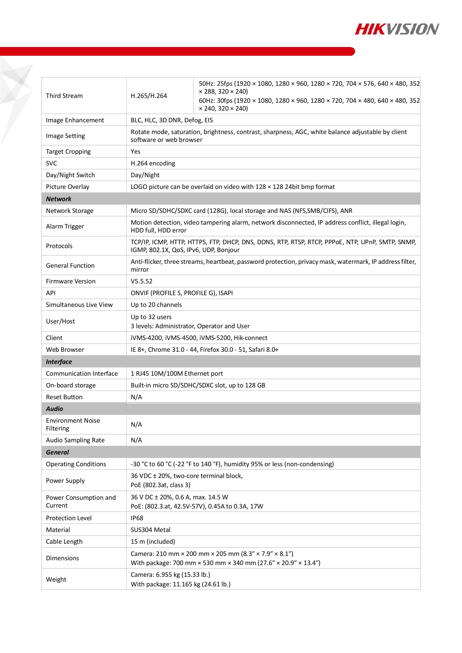

| <b>Third Stream</b>                   | H.265/H.264                                                                                                                                         | 50Hz: 25fps (1920 × 1080, 1280 × 960, 1280 × 720, 704 × 576, 640 × 480, 352<br>$\times$ 288, 320 $\times$ 240) |  |
|---------------------------------------|-----------------------------------------------------------------------------------------------------------------------------------------------------|----------------------------------------------------------------------------------------------------------------|--|
|                                       |                                                                                                                                                     | 60Hz: 30fps (1920 × 1080, 1280 × 960, 1280 × 720, 704 × 480, 640 × 480, 352                                    |  |
|                                       |                                                                                                                                                     | $\times$ 240, 320 $\times$ 240)                                                                                |  |
| Image Enhancement                     | BLC, HLC, 3D DNR, Defog, EIS                                                                                                                        |                                                                                                                |  |
| <b>Image Setting</b>                  | Rotate mode, saturation, brightness, contrast, sharpness, AGC, white balance adjustable by client<br>software or web browser                        |                                                                                                                |  |
| <b>Target Cropping</b>                | Yes                                                                                                                                                 |                                                                                                                |  |
| <b>SVC</b>                            | H.264 encoding                                                                                                                                      |                                                                                                                |  |
| Day/Night Switch                      | Day/Night                                                                                                                                           |                                                                                                                |  |
| Picture Overlay                       | LOGO picture can be overlaid on video with $128 \times 128$ 24bit bmp format                                                                        |                                                                                                                |  |
| <b>Network</b>                        |                                                                                                                                                     |                                                                                                                |  |
| Network Storage                       | Micro SD/SDHC/SDXC card (128G), local storage and NAS (NFS, SMB/CIFS), ANR                                                                          |                                                                                                                |  |
| Alarm Trigger                         | Motion detection, video tampering alarm, network disconnected, IP address conflict, illegal login,<br>HDD full, HDD error                           |                                                                                                                |  |
| Protocols                             | TCP/IP, ICMP, HTTP, HTTPS, FTP, DHCP, DNS, DDNS, RTP, RTSP, RTCP, PPPOE, NTP, UPnP, SMTP, SNMP,<br>IGMP, 802.1X, QoS, IPv6, UDP, Bonjour            |                                                                                                                |  |
| <b>General Function</b>               | Anti-flicker, three streams, heartbeat, password protection, privacy mask, watermark, IP address filter,<br>mirror                                  |                                                                                                                |  |
| <b>Firmware Version</b>               | V5.5.52                                                                                                                                             |                                                                                                                |  |
| API                                   | ONVIF (PROFILE S, PROFILE G), ISAPI                                                                                                                 |                                                                                                                |  |
| Simultaneous Live View                | Up to 20 channels                                                                                                                                   |                                                                                                                |  |
| User/Host                             | Up to 32 users<br>3 levels: Administrator, Operator and User                                                                                        |                                                                                                                |  |
| Client                                | iVMS-4200, iVMS-4500, iVMS-5200, Hik-connect                                                                                                        |                                                                                                                |  |
| Web Browser                           | IE 8+, Chrome 31.0 - 44, Firefox 30.0 - 51, Safari 8.0+                                                                                             |                                                                                                                |  |
| <b>Interface</b>                      |                                                                                                                                                     |                                                                                                                |  |
| <b>Communication Interface</b>        | 1 RJ45 10M/100M Ethernet port                                                                                                                       |                                                                                                                |  |
| On-board storage                      | Built-in micro SD/SDHC/SDXC slot, up to 128 GB                                                                                                      |                                                                                                                |  |
| <b>Reset Button</b>                   | N/A                                                                                                                                                 |                                                                                                                |  |
| Audio                                 |                                                                                                                                                     |                                                                                                                |  |
| <b>Environment Noise</b><br>Filtering | N/A                                                                                                                                                 |                                                                                                                |  |
| Audio Sampling Rate                   | N/A                                                                                                                                                 |                                                                                                                |  |
| <b>General</b>                        |                                                                                                                                                     |                                                                                                                |  |
| <b>Operating Conditions</b>           | -30 °C to 60 °C (-22 °F to 140 °F), humidity 95% or less (non-condensing)                                                                           |                                                                                                                |  |
| Power Supply                          | 36 VDC ± 20%, two-core terminal block,<br>PoE (802.3at, class 3)                                                                                    |                                                                                                                |  |
| Power Consumption and<br>Current      | 36 V DC ± 20%, 0.6 A, max. 14.5 W<br>PoE: (802.3.at, 42.5V-57V), 0.45A to 0.3A, 17W                                                                 |                                                                                                                |  |
| <b>Protection Level</b>               | <b>IP68</b>                                                                                                                                         |                                                                                                                |  |
| Material                              | SUS304 Metal                                                                                                                                        |                                                                                                                |  |
| Cable Length                          | 15 m (included)                                                                                                                                     |                                                                                                                |  |
| <b>Dimensions</b>                     | Camera: 210 mm $\times$ 200 mm $\times$ 205 mm (8.3" $\times$ 7.9" $\times$ 8.1")<br>With package: 700 mm × 530 mm × 340 mm (27.6" × 20.9" × 13.4") |                                                                                                                |  |
| Weight                                | Camera: 6.955 kg (15.33 lb.)<br>With package: 11.165 kg (24.61 lb.)                                                                                 |                                                                                                                |  |

X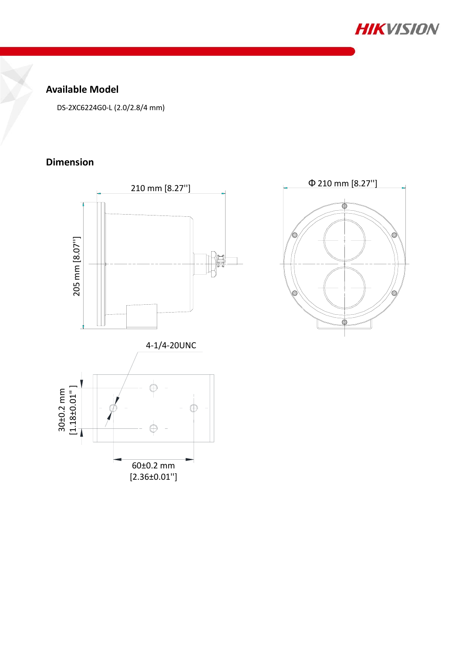

### **Available Model**

DS-2XC6224G0-L (2.0/2.8/4 mm)

### **Dimension**